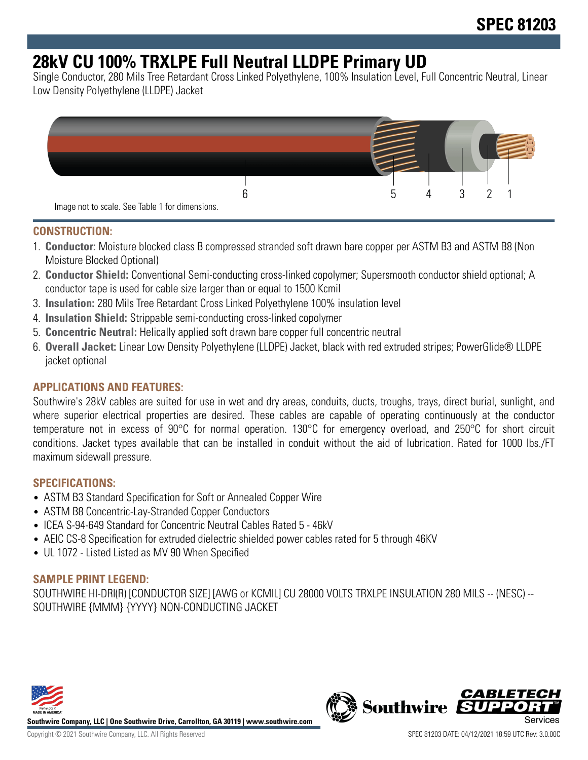# **28kV CU 100% TRXLPE Full Neutral LLDPE Primary UD**

Single Conductor, 280 Mils Tree Retardant Cross Linked Polyethylene, 100% Insulation Level, Full Concentric Neutral, Linear Low Density Polyethylene (LLDPE) Jacket



### **CONSTRUCTION:**

- 1. **Conductor:** Moisture blocked class B compressed stranded soft drawn bare copper per ASTM B3 and ASTM B8 (Non Moisture Blocked Optional)
- 2. **Conductor Shield:** Conventional Semi-conducting cross-linked copolymer; Supersmooth conductor shield optional; A conductor tape is used for cable size larger than or equal to 1500 Kcmil
- 3. **Insulation:** 280 Mils Tree Retardant Cross Linked Polyethylene 100% insulation level
- 4. **Insulation Shield:** Strippable semi-conducting cross-linked copolymer
- 5. **Concentric Neutral:** Helically applied soft drawn bare copper full concentric neutral
- 6. **Overall Jacket:** Linear Low Density Polyethylene (LLDPE) Jacket, black with red extruded stripes; PowerGlide® LLDPE jacket optional

# **APPLICATIONS AND FEATURES:**

Southwire's 28kV cables are suited for use in wet and dry areas, conduits, ducts, troughs, trays, direct burial, sunlight, and where superior electrical properties are desired. These cables are capable of operating continuously at the conductor temperature not in excess of 90°C for normal operation. 130°C for emergency overload, and 250°C for short circuit conditions. Jacket types available that can be installed in conduit without the aid of lubrication. Rated for 1000 lbs./FT maximum sidewall pressure.

### **SPECIFICATIONS:**

- ASTM B3 Standard Specification for Soft or Annealed Copper Wire
- ASTM B8 Concentric-Lay-Stranded Copper Conductors
- ICEA S-94-649 Standard for Concentric Neutral Cables Rated 5 46kV
- AEIC CS-8 Specification for extruded dielectric shielded power cables rated for 5 through 46KV
- UL 1072 Listed Listed as MV 90 When Specified

### **SAMPLE PRINT LEGEND:**

SOUTHWIRE HI-DRI(R) [CONDUCTOR SIZE] [AWG or KCMIL] CU 28000 VOLTS TRXLPE INSULATION 280 MILS -- (NESC) -- SOUTHWIRE {MMM} {YYYY} NON-CONDUCTING JACKET



**Southwire Company, LLC | One Southwire Drive, Carrollton, GA 30119 | www.southwire.com**

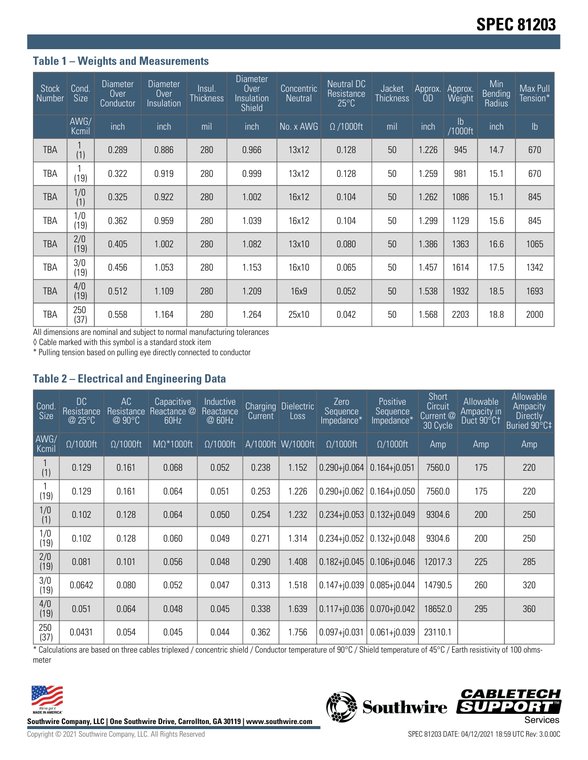# **Table 1 – Weights and Measurements**

| <b>Stock</b><br>Number | Cond.<br><b>Size</b> | <b>Diameter</b><br>Over<br>Conductor | <b>Diameter</b><br>Over<br>Insulation | Insul.<br>Thickness | <b>Diameter</b><br>0 <sub>ver</sub><br>Insulation<br>Shield | Concentric<br><b>Neutral</b> | Neutral DC<br>Resistance<br>$25^{\circ}$ C | Jacket<br><b>Thickness</b> | Approx.<br>0 <sub>D</sub> | Approx.<br>Weight | Min<br>Bending<br>Radius | Max Pull<br>Tension* |
|------------------------|----------------------|--------------------------------------|---------------------------------------|---------------------|-------------------------------------------------------------|------------------------------|--------------------------------------------|----------------------------|---------------------------|-------------------|--------------------------|----------------------|
|                        | AWG/<br>Kcmil        | inch                                 | inch                                  | mil                 | inch                                                        | No. x AWG                    | $\Omega$ /1000ft                           | mil                        | inch                      | $\frac{1}{1000}$  | inch                     | $\mathsf{lb}$        |
| <b>TBA</b>             | (1)                  | 0.289                                | 0.886                                 | 280                 | 0.966                                                       | 13x12                        | 0.128                                      | 50                         | 1.226                     | 945               | 14.7                     | 670                  |
| TBA                    | (19)                 | 0.322                                | 0.919                                 | 280                 | 0.999                                                       | 13x12                        | 0.128                                      | 50                         | 1.259                     | 981               | 15.1                     | 670                  |
| <b>TBA</b>             | 1/0<br>(1)           | 0.325                                | 0.922                                 | 280                 | 1.002                                                       | 16x12                        | 0.104                                      | 50                         | 1.262                     | 1086              | 15.1                     | 845                  |
| <b>TBA</b>             | 1/0<br>(19)          | 0.362                                | 0.959                                 | 280                 | 1.039                                                       | 16x12                        | 0.104                                      | 50                         | 1.299                     | 1129              | 15.6                     | 845                  |
| <b>TBA</b>             | 2/0<br>(19)          | 0.405                                | 1.002                                 | 280                 | 1.082                                                       | 13x10                        | 0.080                                      | 50                         | 1.386                     | 1363              | 16.6                     | 1065                 |
| TBA                    | 3/0<br>(19)          | 0.456                                | 1.053                                 | 280                 | 1.153                                                       | 16x10                        | 0.065                                      | 50                         | 1.457                     | 1614              | 17.5                     | 1342                 |
| <b>TBA</b>             | 4/0<br>(19)          | 0.512                                | 1.109                                 | 280                 | 1.209                                                       | 16x9                         | 0.052                                      | 50                         | 1.538                     | 1932              | 18.5                     | 1693                 |
| TBA                    | 250<br>(37)          | 0.558                                | 1.164                                 | 280                 | 1.264                                                       | 25x10                        | 0.042                                      | 50                         | 1.568                     | 2203              | 18.8                     | 2000                 |

All dimensions are nominal and subject to normal manufacturing tolerances

◊ Cable marked with this symbol is a standard stock item

\* Pulling tension based on pulling eye directly connected to conductor

#### **Table 2 – Electrical and Engineering Data**

| Cond<br><b>Size</b> | <b>DC</b><br>Resistance<br>@ 25°C | AC<br>Resistance<br>@90°C | Capacitive<br>Reactance @<br>60Hz | Inductive<br>Reactance<br>@ 60Hz | <b>Charging</b><br>Current | <b>Dielectric</b><br>Loss | Zero<br>Sequence<br>Impedance* | Positive<br>Sequence<br>Impedance* | <b>Short</b><br>Circuit<br>Current @<br>30 Cycle | Allowable<br>Ampacity in<br>Duct 90°C1 | Allowable<br>Ampacity<br><b>Directly</b><br>Buried 90°C‡ |
|---------------------|-----------------------------------|---------------------------|-----------------------------------|----------------------------------|----------------------------|---------------------------|--------------------------------|------------------------------------|--------------------------------------------------|----------------------------------------|----------------------------------------------------------|
| AWG/<br>Kcmil       | $\Omega/1000$ ft                  | $\Omega/1000$ ft          | $M\Omega^*1000$ ft                | $\Omega/1000$ ft                 |                            | A/1000ft W/1000ft         | $\Omega/1000$ ft               | $\Omega/1000$ ft                   | Amp                                              | Amp                                    | Amp                                                      |
| (1)                 | 0.129                             | 0.161                     | 0.068                             | 0.052                            | 0.238                      | 1.152                     | $0.290 + j0.064$               | $0.164 + j0.051$                   | 7560.0                                           | 175                                    | 220                                                      |
| (19)                | 0.129                             | 0.161                     | 0.064                             | 0.051                            | 0.253                      | 1.226                     | $0.290 + j0.062$               | $0.164 + j0.050$                   | 7560.0                                           | 175                                    | 220                                                      |
| 1/0<br>(1)          | 0.102                             | 0.128                     | 0.064                             | 0.050                            | 0.254                      | 1.232                     | $0.234 + 0.053$                | $0.132 + j0.049$                   | 9304.6                                           | 200                                    | 250                                                      |
| 1/0<br>(19)         | 0.102                             | 0.128                     | 0.060                             | 0.049                            | 0.271                      | 1.314                     | $0.234 + 0.052$                | $0.132 + j0.048$                   | 9304.6                                           | 200                                    | 250                                                      |
| 2/0<br>(19)         | 0.081                             | 0.101                     | 0.056                             | 0.048                            | 0.290                      | 1.408                     | $0.182 + 0.045$                | $0.106 + j0.046$                   | 12017.3                                          | 225                                    | 285                                                      |
| 3/0<br>(19)         | 0.0642                            | 0.080                     | 0.052                             | 0.047                            | 0.313                      | 1.518                     | $0.147 + 0.039$                | $0.085 + j0.044$                   | 14790.5                                          | 260                                    | 320                                                      |
| 4/0<br>(19)         | 0.051                             | 0.064                     | 0.048                             | 0.045                            | 0.338                      | 1.639                     | $0.117 + 0.036$                | $0.070 + j0.042$                   | 18652.0                                          | 295                                    | 360                                                      |
| 250<br>(37)         | 0.0431                            | 0.054                     | 0.045                             | 0.044                            | 0.362                      | 1.756                     | $0.097 + j0.031$               | $0.061 + j0.039$                   | 23110.1                                          |                                        |                                                          |

\* Calculations are based on three cables triplexed / concentric shield / Conductor temperature of 90°C / Shield temperature of 45°C / Earth resistivity of 100 ohmsmeter



Southwire Company, LLC | One Southwire Drive, Carrollton, GA 30119 | www.southwire.com<br>Services

**CABLETECH**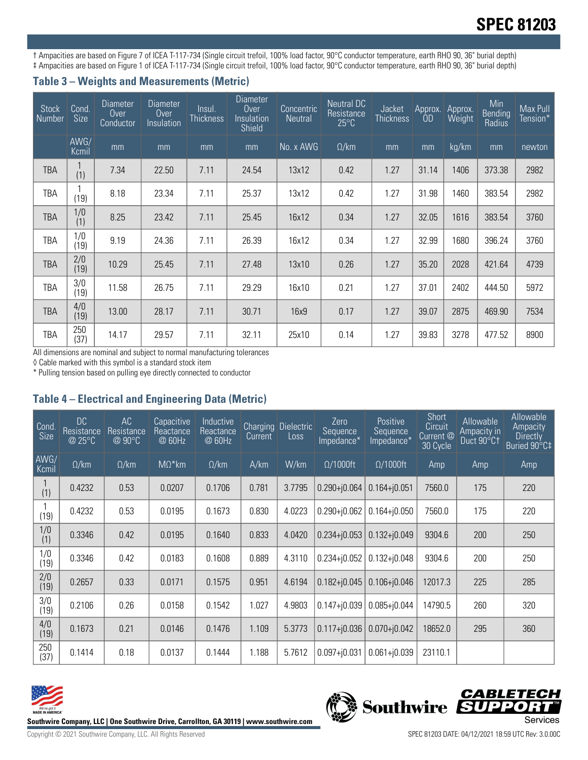# **SPEC 81203**

† Ampacities are based on Figure 7 of ICEA T-117-734 (Single circuit trefoil, 100% load factor, 90°C conductor temperature, earth RHO 90, 36" burial depth) ‡ Ampacities are based on Figure 1 of ICEA T-117-734 (Single circuit trefoil, 100% load factor, 90°C conductor temperature, earth RHO 90, 36" burial depth)

## **Table 3 – Weights and Measurements (Metric)**

| <b>Stock</b><br>Number | Cond.<br>Size | <b>Diameter</b><br>Over<br>Conductor | <b>Diameter</b><br>Over<br>Insulation | Insul.<br>Thickness | Diameter<br>Over<br>Insulation<br>Shield | Concentric<br><b>Neutral</b> | Neutral DC<br>Resistance<br>$25^{\circ}$ C | <b>Jacket</b><br><b>Thickness</b> | Approx.<br>0D | Approx.<br>Weight | Min<br><b>Bending</b><br>Radius | Max Pull<br>Tension* |
|------------------------|---------------|--------------------------------------|---------------------------------------|---------------------|------------------------------------------|------------------------------|--------------------------------------------|-----------------------------------|---------------|-------------------|---------------------------------|----------------------|
|                        | AWG/<br>Kcmil | mm                                   | mm                                    | mm                  | mm                                       | No. x AWG                    | $\Omega$ /km                               | mm                                | mm            | kg/km             | mm                              | newton               |
| <b>TBA</b>             | (1)           | 7.34                                 | 22.50                                 | 7.11                | 24.54                                    | 13x12                        | 0.42                                       | 1.27                              | 31.14         | 1406              | 373.38                          | 2982                 |
| TBA                    | (19)          | 8.18                                 | 23.34                                 | 7.11                | 25.37                                    | 13x12                        | 0.42                                       | 1.27                              | 31.98         | 1460              | 383.54                          | 2982                 |
| TBA                    | 1/0<br>(1)    | 8.25                                 | 23.42                                 | 7.11                | 25.45                                    | 16x12                        | 0.34                                       | 1.27                              | 32.05         | 1616              | 383.54                          | 3760                 |
| <b>TBA</b>             | 1/0<br>(19)   | 9.19                                 | 24.36                                 | 7.11                | 26.39                                    | 16x12                        | 0.34                                       | 1.27                              | 32.99         | 1680              | 396.24                          | 3760                 |
| <b>TBA</b>             | 2/0<br>(19)   | 10.29                                | 25.45                                 | 7.11                | 27.48                                    | 13x10                        | 0.26                                       | 1.27                              | 35.20         | 2028              | 421.64                          | 4739                 |
| TBA                    | 3/0<br>(19)   | 11.58                                | 26.75                                 | 7.11                | 29.29                                    | 16x10                        | 0.21                                       | 1.27                              | 37.01         | 2402              | 444.50                          | 5972                 |
| <b>TBA</b>             | 4/0<br>(19)   | 13.00                                | 28.17                                 | 7.11                | 30.71                                    | 16x9                         | 0.17                                       | 1.27                              | 39.07         | 2875              | 469.90                          | 7534                 |
| TBA                    | 250<br>(37)   | 14.17                                | 29.57                                 | 7.11                | 32.11                                    | 25x10                        | 0.14                                       | 1.27                              | 39.83         | 3278              | 477.52                          | 8900                 |

All dimensions are nominal and subject to normal manufacturing tolerances

◊ Cable marked with this symbol is a standard stock item

\* Pulling tension based on pulling eye directly connected to conductor

# **Table 4 – Electrical and Engineering Data (Metric)**

| Cond<br><b>Size</b> | DC.<br>Resistance<br>@ 25°C | AC<br>Resistance<br>@ 90°C | Capacitive<br>Reactance<br>@ 60Hz | Inductive<br>Reactance<br>@ 60Hz | <b>Charging</b><br>Current | Dielectric<br>Loss | Zero<br>Sequence<br>Impedance* | Positive<br>Sequence<br>Impedance* | <b>Short</b><br>Circuit<br>Current <sup><sup>®</sup></sup><br>30 Cycle | Allowable<br>Ampacity in<br>Duct 90°C1 | Allowable<br>Ampacity<br><b>Directly</b><br>Buried 90°C‡ |
|---------------------|-----------------------------|----------------------------|-----------------------------------|----------------------------------|----------------------------|--------------------|--------------------------------|------------------------------------|------------------------------------------------------------------------|----------------------------------------|----------------------------------------------------------|
| AWG/<br>Kcmil       | $\Omega$ /km                | $\Omega$ /km               | $M\Omega^*$ km                    | $\Omega$ /km                     | A/km                       | W/km               | $\Omega/1000$ ft               | $\Omega/1000$ ft                   | Amp                                                                    | Amp                                    | Amp                                                      |
| (1)                 | 0.4232                      | 0.53                       | 0.0207                            | 0.1706                           | 0.781                      | 3.7795             | $0.290 + j0.064$               | $0.164 + j0.051$                   | 7560.0                                                                 | 175                                    | 220                                                      |
| (19)                | 0.4232                      | 0.53                       | 0.0195                            | 0.1673                           | 0.830                      | 4.0223             | $0.290 + j0.062$               | $0.164 + j0.050$                   | 7560.0                                                                 | 175                                    | 220                                                      |
| 1/0<br>(1)          | 0.3346                      | 0.42                       | 0.0195                            | 0.1640                           | 0.833                      | 4.0420             | $0.234 + 0.053$                | $0.132 + j0.049$                   | 9304.6                                                                 | 200                                    | 250                                                      |
| 1/0<br>(19)         | 0.3346                      | 0.42                       | 0.0183                            | 0.1608                           | 0.889                      | 4.3110             | $0.234 + j0.052$               | $0.132 + j0.048$                   | 9304.6                                                                 | 200                                    | 250                                                      |
| 2/0<br>(19)         | 0.2657                      | 0.33                       | 0.0171                            | 0.1575                           | 0.951                      | 4.6194             | $0.182 + 0.045$                | $0.106 + i0.046$                   | 12017.3                                                                | 225                                    | 285                                                      |
| 3/0<br>(19)         | 0.2106                      | 0.26                       | 0.0158                            | 0.1542                           | 1.027                      | 4.9803             | $0.147 + 0.039$                | $0.085 + j0.044$                   | 14790.5                                                                | 260                                    | 320                                                      |
| 4/0<br>(19)         | 0.1673                      | 0.21                       | 0.0146                            | 0.1476                           | 1.109                      | 5.3773             | $0.117 + 0.036$                | $0.070 + j0.042$                   | 18652.0                                                                | 295                                    | 360                                                      |
| 250<br>(37)         | 0.1414                      | 0.18                       | 0.0137                            | 0.1444                           | 1.188                      | 5.7612             | $0.097 + j0.031$               | $0.061 + j0.039$                   | 23110.1                                                                |                                        |                                                          |